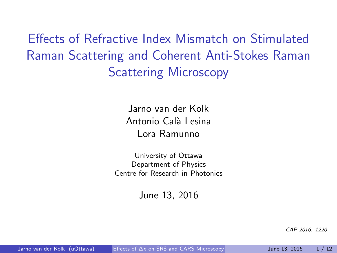Effects of Refractive Index Mismatch on Stimulated Raman Scattering and Coherent Anti-Stokes Raman **Scattering Microscopy** 

> Jarno van der Kolk Antonio Calà Lesina Lora Ramunno

University of Ottawa Department of Physics Centre for Research in Photonics

June 13, 2016

<span id="page-0-0"></span>CAP 2016: 1220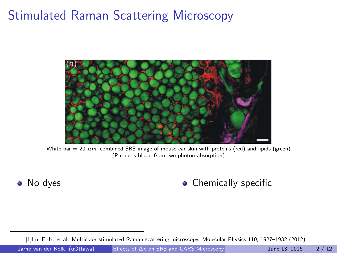### Stimulated Raman Scattering Microscopy



White bar = 20  $\mu$ m, combined SRS image of mouse ear skin with proteins (red) and lipids (green) (Purple is blood from two photon absorption)

#### • No dyes **Chemically specific**

[\[1\]](#page-16-0)Lu, F.-K. et al. Multicolor stimulated Raman scattering microscopy. Molecular Physics 110, 1927–1932 (2012).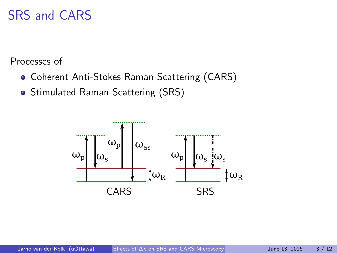### SRS and CARS

Processes of

- Coherent Anti-Stokes Raman Scattering (CARS)
- Stimulated Raman Scattering (SRS)

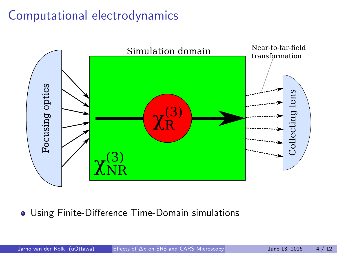### Computational electrodynamics



Using Finite-Difference Time-Domain simulations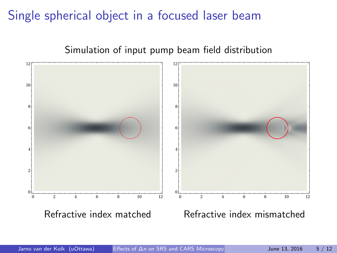### Single spherical object in a focused laser beam



#### Simulation of input pump beam field distribution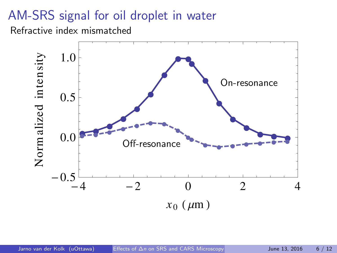### AM-SRS signal for oil droplet in water

Refractive index mismatched

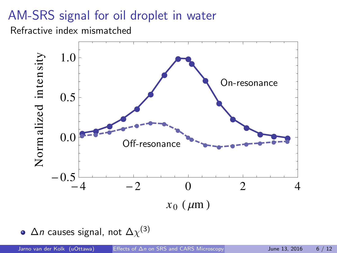## AM-SRS signal for oil droplet in water

Refractive index mismatched



 $\Delta$ *n* causes signal, not  $\Delta\chi^{(3)}$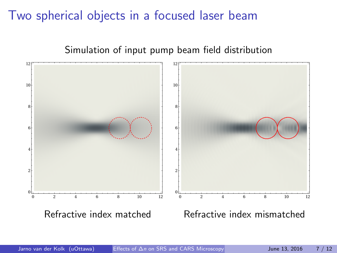#### Two spherical objects in a focused laser beam



#### Simulation of input pump beam field distribution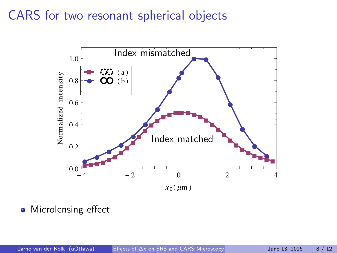#### CARS for two resonant spherical objects



• Microlensing effect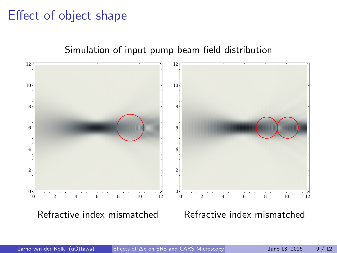### Effect of object shape



#### Simulation of input pump beam field distribution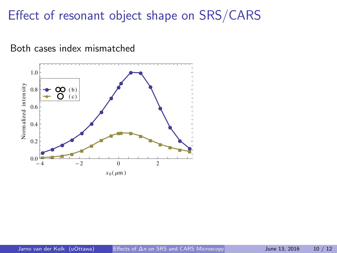#### Effect of resonant object shape on SRS/CARS



Both cases index mismatched

 $x_0$  ( $\mu$ m)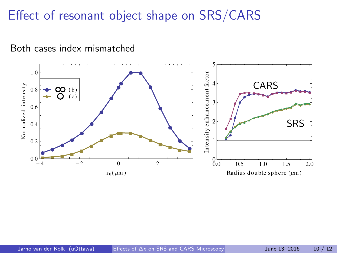### Effect of resonant object shape on SRS/CARS



Both cases index mismatched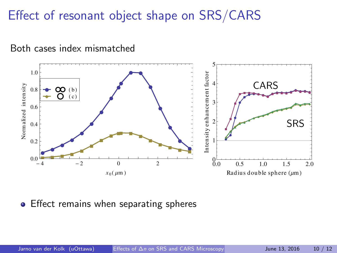### Effect of resonant object shape on SRS/CARS



Both cases index mismatched

#### **•** Effect remains when separating spheres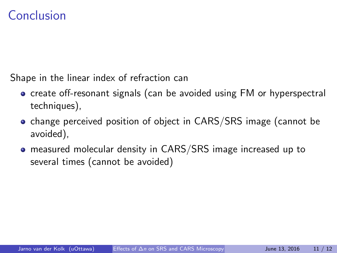#### Conclusion

Shape in the linear index of refraction can

- o create off-resonant signals (can be avoided using FM or hyperspectral techniques),
- change perceived position of object in CARS/SRS image (cannot be avoided),
- measured molecular density in CARS/SRS image increased up to several times (cannot be avoided)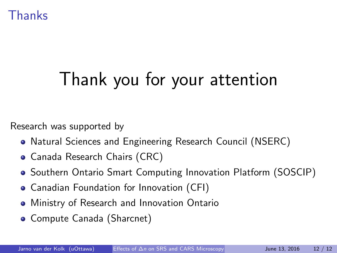Thanks

# Thank you for your attention

Research was supported by

- Natural Sciences and Engineering Research Council (NSERC)
- Canada Research Chairs (CRC)
- **•** Southern Ontario Smart Computing Innovation Platform (SOSCIP)
- Canadian Foundation for Innovation (CFI)
- **Ministry of Research and Innovation Ontario**
- Compute Canada (Sharcnet)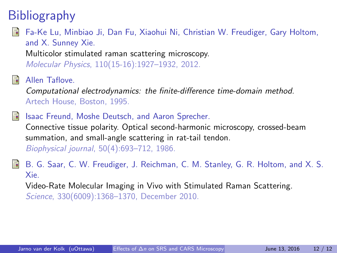### <span id="page-16-0"></span>**Bibliography**

#### Fa-Ke Lu, Minbiao Ji, Dan Fu, Xiaohui Ni, Christian W. Freudiger, Gary Holtom, and X. Sunney Xie.

<span id="page-16-1"></span>Multicolor stimulated raman scattering microscopy. Molecular Physics, 110(15-16):1927–1932, 2012.

Allen Taflove.

Computational electrodynamics: the finite-difference time-domain method. Artech House, Boston, 1995.

#### Isaac Freund, Moshe Deutsch, and Aaron Sprecher. 品

Connective tissue polarity. Optical second-harmonic microscopy, crossed-beam summation, and small-angle scattering in rat-tail tendon. Biophysical journal, 50(4):693–712, 1986.

<span id="page-16-2"></span>B. G. Saar, C. W. Freudiger, J. Reichman, C. M. Stanley, G. R. Holtom, and X. S. E. Xie. Video-Rate Molecular Imaging in Vivo with Stimulated Raman Scattering. Science, 330(6009):1368–1370, December 2010.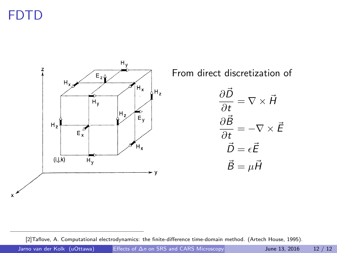## FDTD

 $\boldsymbol{\mathsf{x}}$ 



From direct discretization of

$$
\frac{\partial \vec{D}}{\partial t} = \nabla \times \vec{H}
$$

$$
\frac{\partial \vec{B}}{\partial t} = -\nabla \times \vec{E}
$$

$$
\vec{D} = \epsilon \vec{E}
$$

$$
\vec{B} = \mu \vec{H}
$$

[\[2\]](#page-16-1)Taflove, A. Computational electrodynamics: the finite-difference time-domain method. (Artech House, 1995).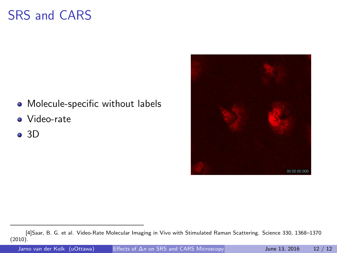### SRS and CARS

- Molecule-specific without labels
- Video-rate
- $\bullet$  3D



Jarno van der Kolk (uOttawa) Effects of ∆n [on SRS and CARS Microscopy](#page-0-0) June 13, 2016 12 / 12

[<sup>\[4\]</sup>](#page-16-2)Saar, B. G. et al. Video-Rate Molecular Imaging in Vivo with Stimulated Raman Scattering. Science 330, 1368–1370  $(2010).$